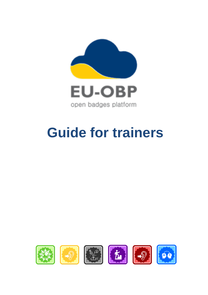

open badges platform

# **Guide for trainers**

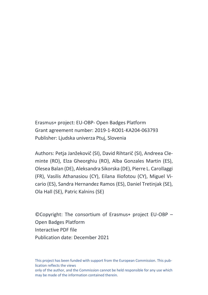Erasmus+ project: EU-OBP- Open Badges Platform Grant agreement number: 2019-1-RO01-KA204-063793 Publisher: Ljudska univerza Ptuj, Slovenia

Authors: Petja Janžekovič (SI), David Rihtarič (SI), Andreea Cleminte (RO), Elza Gheorghiu (RO), Alba Gonzales Martin (ES), Olesea Balan (DE), Aleksandra Sikorska (DE), Pierre L. Carollaggi (FR), Vasilis Athanasiou (CY), Eilana Iliofotou (CY), Miguel Vicario (ES), Sandra Hernandez Ramos (ES), Daniel Tretinjak (SE), Ola Hall (SE), Patric Kalnins (SE)

©Copyright: The consortium of Erasmus+ project EU-OBP – Open Badges Platform Interactive PDF file Publication date: December 2021

This project has been funded with support from the European Commission. This publication reflects the views only of the author, and the Commission cannot be held responsible for any use which may be made of the information contained therein.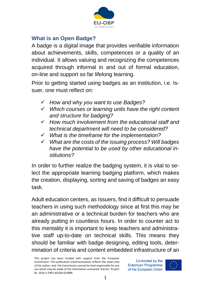

## **What is an Open Badge?**

A badge is a digital image that provides verifiable information about achievements, skills, competences or a quality of an individual. It allows valuing and recognizing the competences acquired through informal in and out of formal education, on-line and support so far lifelong learning.

Prior to getting started using badges as an institution, i.e. Issuer, one must reflect on:

- ✓ *How and why you want to use Badges?*
- ✓ *Which courses or learning units have the right content and structure for badging?*
- ✓ *How much involvement from the educational staff and technical department will need to be considered?*
- ✓ *What is the timeframe for the implementation?*
- ✓ *What are the costs of the issuing process? Will badges have the potential to be used by other educational institutions?*

In order to further realize the badging system, it is vital to select the appropriate learning badging platform, which makes the creation, displaying, sorting and saving of badges an easy task.

Adult education centers, as Issuers, find it difficult to persuade teachers in using such methodology since at first this may be an administrative or a technical burden for teachers who are already putting in countless hours. In order to counter act to this mentality it is important to keep teachers and administrative staff up-to-date on technical skills. This means they should be familiar with badge designing, editing tools, determination of criteria and content embedded infrastructure of an

This project has been funded with support from the European Commission. This publication [communication] reflects the views only of the author, and the Commission cannot be held responsible for any use which may be made of the information contained therein. Project Nr. 2016-1-FR01-KA204-023896

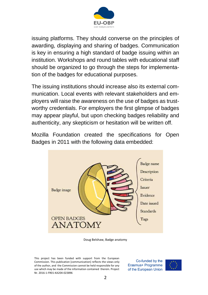

issuing platforms. They should converse on the principles of awarding, displaying and sharing of badges. Communication is key in ensuring a high standard of badge issuing within an institution. Workshops and round tables with educational staff should be organized to go through the steps for implementation of the badges for educational purposes.

The issuing institutions should increase also its external communication. Local events with relevant stakeholders and employers will raise the awareness on the use of badges as trustworthy credentials. For employers the first glimpse of badges may appear playful, but upon checking badges reliability and authenticity, any skepticism or hesitation will be written off.

Mozilla Foundation created the specifications for Open Badges in 2011 with the following data embedded:



Doug Belshaw, Badge anatomy

This project has been funded with support from the European Commission. This publication [communication] reflects the views only of the author, and the Commission cannot be held responsible for any use which may be made of the information contained therein. Project Nr. 2016-1-FR01-KA204-023896

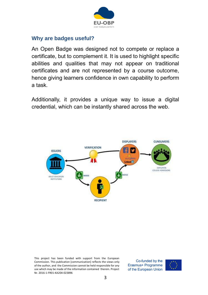

#### **Why are badges useful?**

An Open Badge was designed not to compete or replace a certificate, but to complement it. It is used to highlight specific abilities and qualities that may not appear on traditional certificates and are not represented by a course outcome, hence giving learners confidence in own capability to perform a task.

Additionally, it provides a unique way to issue a digital credential, which can be instantly shared across the web.



This project has been funded with support from the European Commission. This publication [communication] reflects the views only of the author, and the Commission cannot be held responsible for any use which may be made of the information contained therein. Project Nr. 2016-1-FR01-KA204-023896

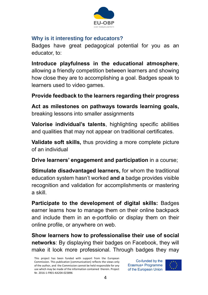

## **Why is it interesting for educators?**

Badges have great pedagogical potential for you as an educator, to:

**Introduce playfulness in the educational atmosphere**, allowing a friendly competition between learners and showing how close they are to accomplishing a goal. Badges speak to learners used to video games.

# **Provide feedback to the learners regarding their progress**

**Act as milestones on pathways towards learning goals,**  breaking lessons into smaller assignments

**Valorise individual's talents**, highlighting specific abilities and qualities that may not appear on traditional certificates.

**Validate soft skills,** thus providing a more complete picture of an individual

**Drive learners' engagement and participation** in a course;

**Stimulate disadvantaged learners,** for whom the traditional education system hasn't worked **and a** badge provides visible recognition and validation for accomplishments or mastering a skill.

**Participate to the development of digital skills:** Badges earner learns how to manage them on their online backpack and include them in an e-portfolio or display them on their online profile, or anywhere on web.

**Show learners how to professionalise their use of social networks**: By displaying their badges on Facebook, they will make it look more professional. Through badges they may

This project has been funded with support from the European Commission. This publication [communication] reflects the views only of the author, and the Commission cannot be held responsible for any use which may be made of the information contained therein. Project Nr. 2016-1-FR01-KA204-023896

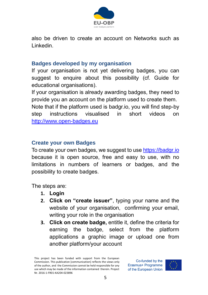

also be driven to create an account on Networks such as Linkedin.

#### **Badges developed by my organisation**

If your organisation is not yet delivering badges, you can suggest to enquire about this possibility (cf. Guide for educational organisations).

If your organisation is already awarding badges, they need to provide you an account on the platform used to create them. Note that if the platform used is badgr.io, you will find step-by step instructions visualised in short videos on [http://www.open-badges.eu](http://www.open-badges.eu/) 

### **Create your own Badges**

To create your own badges, we suggest to us[e https://badgr.io](https://badgr.io/)  because it is open source, free and easy to use, with no limitations in numbers of learners or badges, and the possibility to create badges.

The steps are:

- **1. Login**
- **2. Click on "create issuer"**, typing your name and the website of your organisation, confirming your email, writing your role in the organisation
- **3. Click on create badge,** entitle it, define the criteria for earning the badge, select from the platform applications a graphic image or upload one from another platform/your account



This project has been funded with support from the European Commission. This publication [communication] reflects the views only of the author, and the Commission cannot be held responsible for any use which may be made of the information contained therein. Project Nr. 2016-1-FR01-KA204-023896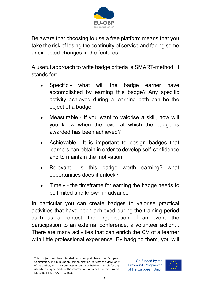

Be aware that choosing to use a free platform means that you take the risk of losing the continuity of service and facing some unexpected changes in the features.

A useful approach to write badge criteria is SMART-method. It stands for:

- Specific what will the badge earner have accomplished by earning this badge? Any specific activity achieved during a learning path can be the object of a badge.
- Measurable If you want to valorise a skill, how will you know when the level at which the badge is awarded has been achieved?
- Achievable It is important to design badges that learners can obtain in order to develop self-confidence and to maintain the motivation
- Relevant is this badge worth earning? what opportunities does it unlock?
- Timely the timeframe for earning the badge needs to be limited and known in advance

In particular you can create badges to valorise practical activities that have been achieved during the training period such as a contest, the organisation of an event, the participation to an external conference, a volunteer action... There are many activities that can enrich the CV of a learner with little professional experience. By badging them, you will

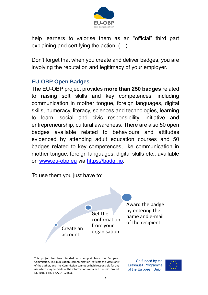

help learners to valorise them as an "official" third part explaining and certifying the action. (…)

Don't forget that when you create and deliver badges, you are involving the reputation and legitimacy of your employer.

### **EU-OBP Open Badges**

The EU-OBP project provides **more than 250 badges** related to raising soft skills and key competences, including communication in mother tongue, foreign languages, digital skills, numeracy, literacy, sciences and technologies, learning to learn, social and civic responsibility, initiative and entrepreneurship, cultural awareness. There are also 50 open badges available related to behaviours and attitudes evidenced by attending adult education courses and 50 badges related to key competences, like communication in mother tongue, foreign languages, digital skills etc., available on [www.eu-obp.eu](http://www.eu-obp.eu/) via [https://badgr.io.](https://badgr.io/)

To use them you just have to:

Get the confirmation from your organisation

Award the badge by entering the name and e-mail of the recipient

This project has been funded with support from the European Commission. This publication [communication] reflects the views only of the author, and the Commission cannot be held responsible for any use which may be made of the information contained therein. Project Nr. 2016-1-FR01-KA204-023896

Create an account

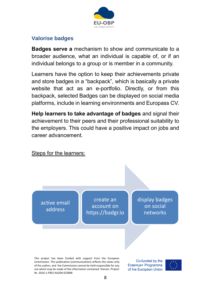

## **Valorise badges**

**Badges serve a** mechanism to show and communicate to a broader audience, what an individual is capable of, or if an individual belongs to a group or is member in a community.

Learners have the option to keep their achievements private and store badges in a "backpack", which is basically a private website that act as an e-portfolio. Directly, or from this backpack, selected Badges can be displayed on social media platforms, include in learning environments and Europass CV.

**Help learners to take advantage of badges** and signal their achievement to their peers and their professional suitability to the employers. This could have a positive impact on jobs and career advancement.

### Steps for the learners:

active email address

create an account on https://badgr.io display badges on social networks

This project has been funded with support from the European Commission. This publication [communication] reflects the views only of the author, and the Commission cannot be held responsible for any use which may be made of the information contained therein. Project Nr. 2016-1-FR01-KA204-023896

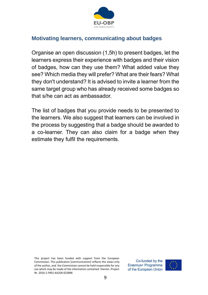

## **Motivating learners, communicating about badges**

Organise an open discussion (1,5h) to present badges, let the learners express their experience with badges and their vision of badges, how can they use them? What added value they see? Which media they will prefer? What are their fears? What they don't understand? It is advised to invite a learner from the same target group who has already received some badges so that s/he can act as ambassador.

The list of badges that you provide needs to be presented to the learners. We also suggest that learners can be involved in the process by suggesting that a badge should be awarded to a co-learner. They can also claim for a badge when they estimate they fulfil the requirements.

This project has been funded with support from the European Commission. This publication [communication] reflects the views only of the author, and the Commission cannot be held responsible for any use which may be made of the information contained therein. Project Nr. 2016-1-FR01-KA204-023896